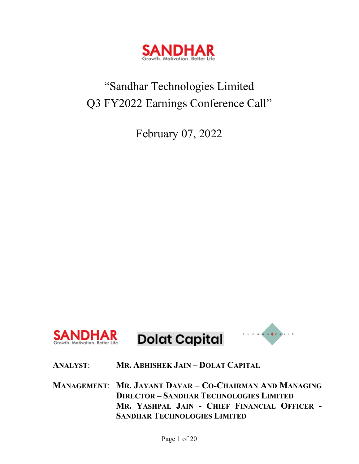

# "Sandhar Technologies Limited Q3 FY2022 Earnings Conference Call"

February 07, 2022



# **ANALYST**: **MR. ABHISHEK JAIN – DOLAT CAPITAL**

**MANAGEMENT**: **MR. JAYANT DAVAR – CO-CHAIRMAN AND MANAGING DIRECTOR – SANDHAR TECHNOLOGIES LIMITED MR. YASHPAL JAIN - CHIEF FINANCIAL OFFICER - SANDHAR TECHNOLOGIES LIMITED**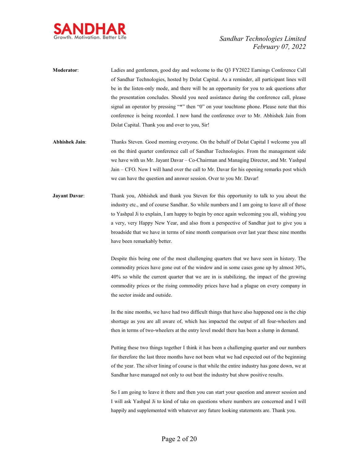

| <b>Moderator:</b> | Ladies and gentlemen, good day and welcome to the Q3 FY2022 Earnings Conference Call        |
|-------------------|---------------------------------------------------------------------------------------------|
|                   | of Sandhar Technologies, hosted by Dolat Capital. As a reminder, all participant lines will |
|                   | be in the listen-only mode, and there will be an opportunity for you to ask questions after |
|                   | the presentation concludes. Should you need assistance during the conference call, please   |
|                   | signal an operator by pressing "*" then "0" on your touchtone phone. Please note that this  |
|                   | conference is being recorded. I now hand the conference over to Mr. Abhishek Jain from      |
|                   | Dolat Capital. Thank you and over to you, Sir!                                              |

- **Abhishek Jain**: Thanks Steven. Good morning everyone. On the behalf of Dolat Capital I welcome you all on the third quarter conference call of Sandhar Technologies. From the management side we have with us Mr. Jayant Davar – Co-Chairman and Managing Director, and Mr. Yashpal Jain – CFO. Now I will hand over the call to Mr. Davar for his opening remarks post which we can have the question and answer session. Over to you Mr. Davar!
- **Jayant Davar:** Thank you, Abhishek and thank you Steven for this opportunity to talk to you about the industry etc., and of course Sandhar. So while numbers and I am going to leave all of those to Yashpal Ji to explain, I am happy to begin by once again welcoming you all, wishing you a very, very Happy New Year, and also from a perspective of Sandhar just to give you a broadside that we have in terms of nine month comparison over last year these nine months have been remarkably better.

Despite this being one of the most challenging quarters that we have seen in history. The commodity prices have gone out of the window and in some cases gone up by almost 30%, 40% so while the current quarter that we are in is stabilizing, the impact of the growing commodity prices or the rising commodity prices have had a plague on every company in the sector inside and outside.

In the nine months, we have had two difficult things that have also happened one is the chip shortage as you are all aware of, which has impacted the output of all four-wheelers and then in terms of two-wheelers at the entry level model there has been a slump in demand.

Putting these two things together I think it has been a challenging quarter and our numbers for therefore the last three months have not been what we had expected out of the beginning of the year. The silver lining of course is that while the entire industry has gone down, we at Sandhar have managed not only to out beat the industry but show positive results.

So I am going to leave it there and then you can start your question and answer session and I will ask Yashpal Ji to kind of take on questions where numbers are concerned and I will happily and supplemented with whatever any future looking statements are. Thank you.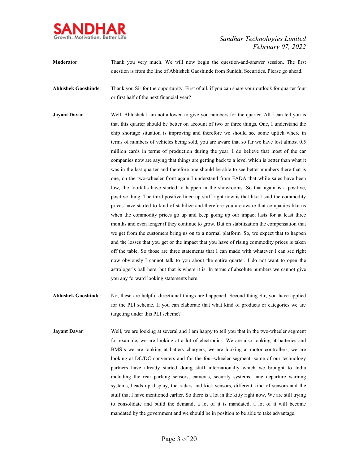

**Moderator**: Thank you very much. We will now begin the question-and-answer session. The first question is from the line of Abhishek Gaoshinde from Sunidhi Securities. Please go ahead.

**Abhishek Gaoshinde**: Thank you Sir for the opportunity. First of all, if you can share your outlook for quarter four or first half of the next financial year?

- **Jayant Davar:** Well, Abhishek I am not allowed to give you numbers for the quarter. All I can tell you is that this quarter should be better on account of two or three things. One, I understand the chip shortage situation is improving and therefore we should see some uptick where in terms of numbers of vehicles being sold, you are aware that so far we have lost almost 0.5 million cards in terms of production during the year. I do believe that most of the car companies now are saying that things are getting back to a level which is better than what it was in the last quarter and therefore one should be able to see better numbers there that is one, on the two-wheeler front again I understand from FADA that while sales have been low, the footfalls have started to happen in the showrooms. So that again is a positive, positive thing. The third positive lined up stuff right now is that like I said the commodity prices have started to kind of stabilize and therefore you are aware that companies like us when the commodity prices go up and keep going up our impact lasts for at least three months and even longer if they continue to grow. But on stabilization the compensation that we get from the customers bring us on to a normal platform. So, we expect that to happen and the losses that you get or the impact that you have of rising commodity prices is taken off the table. So those are three statements that I can made with whatever I can see right now obviously I cannot talk to you about the entire quarter. I do not want to open the astrologer's ball here, but that is where it is. In terms of absolute numbers we cannot give you any forward looking statements here.
- **Abhishek Gaoshinde**: No, these are helpful directional things are happened. Second thing Sir, you have applied for the PLI scheme. If you can elaborate that what kind of products or categories we are targeting under this PLI scheme?
- **Jayant Davar:** Well, we are looking at several and I am happy to tell you that in the two-wheeler segment for example, we are looking at a lot of electronics. We are also looking at batteries and BMS's we are looking at battery chargers, we are looking at motor controllers, we are looking at DC/DC converters and for the four-wheeler segment, some of our technology partners have already started doing stuff internationally which we brought to India including the rear parking sensors, cameras, security systems, lane departure warning systems, heads up display, the radars and kick sensors, different kind of sensors and the stuff that I have mentioned earlier. So there is a lot in the kitty right now. We are still trying to consolidate and build the demand, a lot of it is mandated, a lot of it will become mandated by the government and we should be in position to be able to take advantage.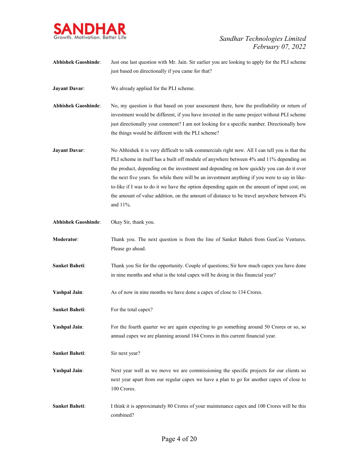

**Abhishek Gaoshinde**: Just one last question with Mr. Jain. Sir earlier you are looking to apply for the PLI scheme just based on directionally if you came for that?

**Jayant Davar:** We already applied for the PLI scheme.

- **Abhishek Gaoshinde**: No, my question is that based on your assessment there, how the profitability or return of investment would be different, if you have invested in the same project without PLI scheme just directionally your comment? I am not looking for a specific number. Directionally how the things would be different with the PLI scheme?
- **Jayant Davar:** No Abhishek it is very difficult to talk commercials right now. All I can tell you is that the PLI scheme in itself has a built off module of anywhere between 4% and 11% depending on the product, depending on the investment and depending on how quickly you can do it over the next five years. So while there will be an investment anything if you were to say in liketo-like if I was to do it we have the option depending again on the amount of input cost, on the amount of value addition, on the amount of distance to be travel anywhere between 4% and 11%.
- **Abhishek Gaoshinde**: Okay Sir, thank you.
- **Moderator:** Thank you. The next question is from the line of Sanket Baheti from GeeCee Ventures. Please go ahead.
- **Sanket Baheti:** Thank you Sir for the opportunity. Couple of questions; Sir how much capex you have done in nine months and what is the total capex will be doing in this financial year?
- **Yashpal Jain**: As of now in nine months we have done a capex of close to 134 Crores.
- **Sanket Baheti:** For the total capex?
- Yashpal Jain: For the fourth quarter we are again expecting to go something around 50 Crores or so, so annual capex we are planning around 184 Crores in this current financial year.
- **Sanket Baheti**: Sir next year?
- Yashpal Jain: Next year well as we move we are commissioning the specific projects for our clients so next year apart from our regular capex we have a plan to go for another capex of close to 100 Crores.
- **Sanket Baheti**: I think it is approximately 80 Crores of your maintenance capex and 100 Crores will be this combined?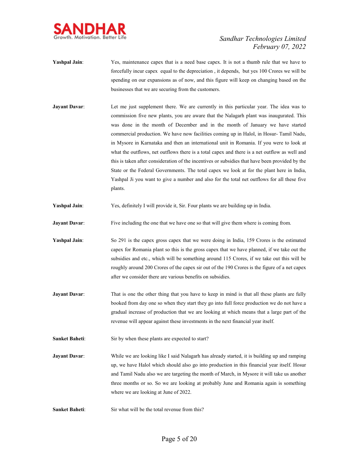

- **Yashpal Jain:** Yes, maintenance capex that is a need base capex. It is not a thumb rule that we have to forcefully incur capex equal to the depreciation , it depends, but yes 100 Crores we will be spending on our expansions as of now, and this figure will keep on changing based on the businesses that we are securing from the customers.
- **Jayant Davar:** Let me just supplement there. We are currently in this particular year. The idea was to commission five new plants, you are aware that the Nalagarh plant was inaugurated. This was done in the month of December and in the month of January we have started commercial production. We have now facilities coming up in Halol, in Hosur- Tamil Nadu, in Mysore in Karnataka and then an international unit in Romania. If you were to look at what the outflows, net outflows there is a total capex and there is a net outflow as well and this is taken after consideration of the incentives or subsidies that have been provided by the State or the Federal Governments. The total capex we look at for the plant here in India, Yashpal Ji you want to give a number and also for the total net outflows for all these five plants.
- **Yashpal Jain**: Yes, definitely I will provide it, Sir. Four plants we are building up in India.
- **Jayant Davar:** Five including the one that we have one so that will give them where is coming from.
- **Yashpal Jain**: So 291 is the capex gross capex that we were doing in India, 159 Crores is the estimated capex for Romania plant so this is the gross capex that we have planned, if we take out the subsidies and etc., which will be something around 115 Crores, if we take out this will be roughly around 200 Crores of the capex sir out of the 190 Crores is the figure of a net capex after we consider there are various benefits on subsidies.
- **Jayant Davar:** That is one the other thing that you have to keep in mind is that all these plants are fully booked from day one so when they start they go into full force production we do not have a gradual increase of production that we are looking at which means that a large part of the revenue will appear against these investments in the next financial year itself.
- Sanket Baheti: Sir by when these plants are expected to start?
- **Jayant Davar:** While we are looking like I said Nalagarh has already started, it is building up and ramping up, we have Halol which should also go into production in this financial year itself. Hosur and Tamil Nadu also we are targeting the month of March, in Mysore it will take us another three months or so. So we are looking at probably June and Romania again is something where we are looking at June of 2022.
- **Sanket Baheti:** Sir what will be the total revenue from this?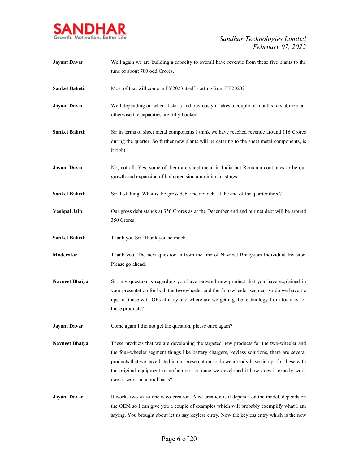

| <b>Jayant Davar:</b>   | Well again we are building a capacity to overall have revenue from these five plants to the<br>tune of about 780 odd Crores.                                                                                                                                                                                                                                                                                      |
|------------------------|-------------------------------------------------------------------------------------------------------------------------------------------------------------------------------------------------------------------------------------------------------------------------------------------------------------------------------------------------------------------------------------------------------------------|
| <b>Sanket Baheti:</b>  | Most of that will come in FY2023 itself starting from FY2023?                                                                                                                                                                                                                                                                                                                                                     |
| <b>Jayant Davar:</b>   | Well depending on when it starts and obviously it takes a couple of months to stabilize but<br>otherwise the capacities are fully booked.                                                                                                                                                                                                                                                                         |
| Sanket Baheti:         | Sir in terms of sheet metal components I think we have reached revenue around 116 Crores<br>during the quarter. So further new plants will be catering to the sheet metal components, is<br>it right.                                                                                                                                                                                                             |
| <b>Jayant Davar:</b>   | No, not all. Yes, some of them are sheet metal in India but Romania continues to be our<br>growth and expansion of high precision aluminium castings.                                                                                                                                                                                                                                                             |
| <b>Sanket Baheti:</b>  | Sir, last thing. What is the gross debt and net debt at the end of the quarter three?                                                                                                                                                                                                                                                                                                                             |
| <b>Yashpal Jain:</b>   | Our gross debt stands at 356 Crores as at the December end and our net debt will be around<br>350 Crores.                                                                                                                                                                                                                                                                                                         |
| Sanket Baheti:         | Thank you Sir. Thank you so much.                                                                                                                                                                                                                                                                                                                                                                                 |
| Moderator:             | Thank you. The next question is from the line of Navneet Bhaiya an Individual Investor.<br>Please go ahead.                                                                                                                                                                                                                                                                                                       |
| <b>Navneet Bhaiya:</b> | Sir, my question is regarding you have targeted new product that you have explained in<br>your presentation for both the two-wheeler and the four-wheeler segment so do we have tie<br>ups for these with OEs already and where are we getting the technology from for most of<br>these products?                                                                                                                 |
| <b>Jayant Davar:</b>   | Come again I did not get the question, please once again?                                                                                                                                                                                                                                                                                                                                                         |
| <b>Navneet Bhaiya:</b> | These products that we are developing the targeted new products for the two-wheeler and<br>the four-wheeler segment things like battery chargers, keyless solutions, there are several<br>products that we have listed in our presentation so do we already have tie-ups for these with<br>the original equipment manufacturers or once we developed it how does it exactly work<br>does it work on a pool basis? |
| <b>Jayant Davar:</b>   | It works two ways one is co-creation. A co-creation is it depends on the model, depends on<br>the OEM so I can give you a couple of examples which will probably exemplify what I am<br>saying. You brought about let us say keyless entry. Now the keyless entry which is the new                                                                                                                                |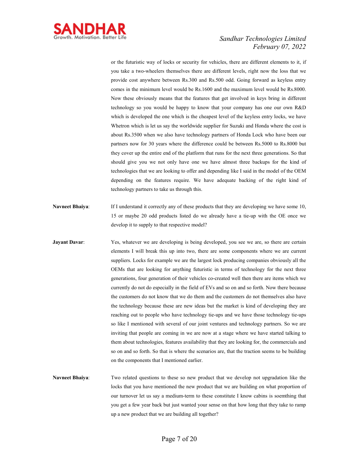

or the futuristic way of locks or security for vehicles, there are different elements to it, if you take a two-wheelers themselves there are different levels, right now the loss that we provide cost anywhere between Rs.300 and Rs.500 odd. Going forward as keyless entry comes in the minimum level would be Rs.1600 and the maximum level would be Rs.8000. Now these obviously means that the features that get involved in keys bring in different technology so you would be happy to know that your company has one our own R&D which is developed the one which is the cheapest level of the keyless entry locks, we have Whetron which is let us say the worldwide supplier for Suzuki and Honda where the cost is about Rs.3500 when we also have technology partners of Honda Lock who have been our partners now for 30 years where the difference could be between Rs.5000 to Rs.8000 but they cover up the entire end of the platform that runs for the next three generations. So that should give you we not only have one we have almost three backups for the kind of technologies that we are looking to offer and depending like I said in the model of the OEM depending on the features require. We have adequate backing of the right kind of technology partners to take us through this.

- **Navneet Bhaiya:** If I understand it correctly any of these products that they are developing we have some 10, 15 or maybe 20 odd products listed do we already have a tie-up with the OE once we develop it to supply to that respective model?
- **Jayant Davar:** Yes, whatever we are developing is being developed, you see we are, so there are certain elements I will break this up into two, there are some components where we are current suppliers. Locks for example we are the largest lock producing companies obviously all the OEMs that are looking for anything futuristic in terms of technology for the next three generations, four generation of their vehicles co-created well then there are items which we currently do not do especially in the field of EVs and so on and so forth. Now there because the customers do not know that we do them and the customers do not themselves also have the technology because these are new ideas but the market is kind of developing they are reaching out to people who have technology tie-ups and we have those technology tie-ups so like I mentioned with several of our joint ventures and technology partners. So we are inviting that people are coming in we are now at a stage where we have started talking to them about technologies, features availability that they are looking for, the commercials and so on and so forth. So that is where the scenarios are, that the traction seems to be building on the components that I mentioned earlier.
- **Navneet Bhaiya**: Two related questions to these so new product that we develop not upgradation like the locks that you have mentioned the new product that we are building on what proportion of our turnover let us say a medium-term to these constitute I know cabins is soemthing that you get a few year back but just wanted your sense on that how long that they take to ramp up a new product that we are building all together?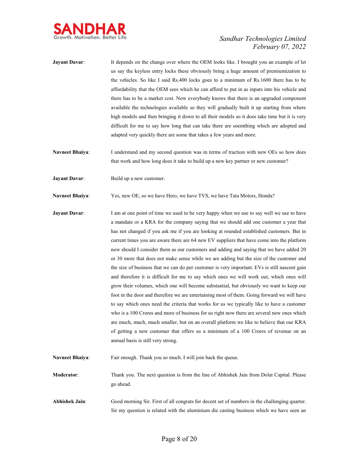

- Jayant Davar: It depends on the change over where the OEM looks like. I brought you an example of let us say the keyless entry locks these obviously bring a huge amount of premiumization to the vehicles. So like I said Rs.400 locks goes to a minimum of Rs.1600 there has to be affordability that the OEM sees which he can afford to put in as inputs into his vehicle and there has to be a market cost. Now everybody knows that there is an upgraded component available the technologies available so they will gradually built it up starting from where high models and then bringing it down to all their models so it does take time but it is very difficult for me to say how long that can take there are soemthing which are adopted and adapted very quickly there are some that takes a few years and more.
- Navneet Bhaiya: I understand and my second question was in terms of traction with new OEs so how does that work and how long does it take to build up a new key partner or new customer?
- **Jayant Davar:** Build up a new customer.

**Navneet Bhaiya**: Yes, new OE, so we have Hero, we have TVS, we have Tata Motors, Honda?

- **Jayant Davar:** I am at one point of time we used to be very happy when we use to say well we use to have a mandate or a KRA for the company saying that we should add one customer a year that has not changed if you ask me if you are looking at rounded established customers. But in current times you are aware there are 64 new EV suppliers that have come into the platform now should I consider them as our customers and adding and saying that we have added 20 or 30 more that does not make sense while we are adding but the size of the customer and the size of business that we can do per customer is very important. EVs is still nascent gain and therefore it is difficult for me to say which ones we will work out, which ones will grow their volumes, which one will become substantial, but obviously we want to keep our foot in the door and therefore we are entertaining most of them. Going forward we will have to say which ones need the criteria that works for us we typically like to have a customer who is a 100 Crores and more of business for us right now there are several new ones which are much, much, much smaller, but on an overall platform we like to believe that our KRA of getting a new customer that offers us a minimum of a 100 Crores of revenue on an annual basis is still very strong.
- Navneet Bhaiya: Fair enough. Thank you so much. I will join back the queue.

**Moderator**: Thank you. The next question is from the line of Abhishek Jain from Dolat Capital. Please go ahead.

**Abhishek Jain**: Good morning Sir. First of all congrats for decent set of numbers in the challenging quarter. Sir my question is related with the aluminium die casting business which we have seen an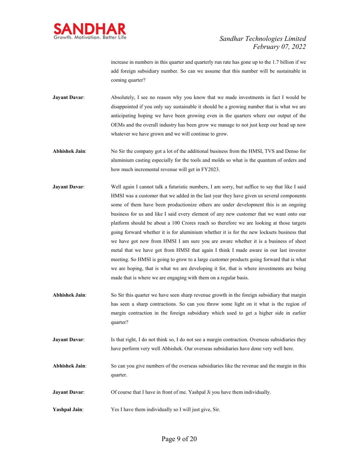

increase in numbers in this quarter and quarterly run rate has gone up to the 1.7 billion if we add foreign subsidiary number. So can we assume that this number will be sustainable in coming quarter?

**Jayant Davar:** Absolutely, I see no reason why you know that we made investments in fact I would be disappointed if you only say sustainable it should be a growing number that is what we are anticipating hoping we have been growing even in the quarters where our output of the OEMs and the overall industry has been grow we manage to not just keep our head up now whatever we have grown and we will continue to grow.

**Abhishek Jain**: No Sir the company got a lot of the additional business from the HMSI, TVS and Denso for aluminium casting especially for the tools and molds so what is the quantum of orders and how much incremental revenue will get in FY2023.

- **Jayant Davar:** Well again I cannot talk a futuristic numbers, I am sorry, but suffice to say that like I said HMSI was a customer that we added in the last year they have given us several components some of them have been productionize others are under development this is an ongoing business for us and like I said every element of any new customer that we want onto our platform should be about a 100 Crores reach so therefore we are looking at those targets going forward whether it is for aluminium whether it is for the new locksets business that we have got now from HMSI I am sure you are aware whether it is a business of sheet metal that we have got from HMSI that again I think I made aware in our last investor meeting. So HMSI is going to grow to a large customer products going forward that is what we are hoping, that is what we are developing it for, that is where investments are being made that is where we are engaging with them on a regular basis.
- **Abhishek Jain**: So Sir this quarter we have seen sharp revenue growth in the foreign subsidiary that margin has seen a sharp contractions. So can you throw some light on it what is the region of margin contraction in the foreign subsidiary which used to get a higher side in earlier quarter?
- **Jayant Davar:** Is that right, I do not think so, I do not see a margin contraction. Overseas subsidiaries they have perform very well Abhishek. Our overseas subsidiaries have done very well here.
- **Abhishek Jain**: So can you give numbers of the overseas subsidiaries like the revenue and the margin in this quarter.
- **Jayant Davar:** Of course that I have in front of me. Yashpal Ji you have them individually.
- **Yashpal Jain**: Yes I have them individually so I will just give, Sir.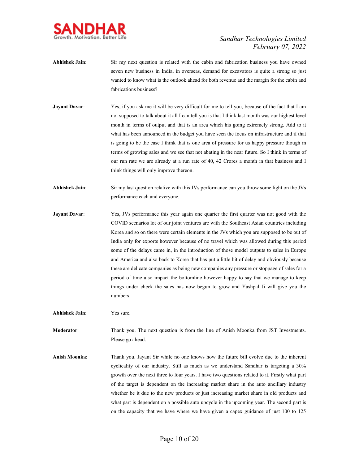

- **Abhishek Jain**: Sir my next question is related with the cabin and fabrication business you have owned seven new business in India, in overseas, demand for excavators is quite a strong so just wanted to know what is the outlook ahead for both revenue and the margin for the cabin and fabrications business?
- **Jayant Davar:** Yes, if you ask me it will be very difficult for me to tell you, because of the fact that I am not supposed to talk about it all I can tell you is that I think last month was our highest level month in terms of output and that is an area which his going extremely strong. Add to it what has been announced in the budget you have seen the focus on infrastructure and if that is going to be the case I think that is one area of pressure for us happy pressure though in terms of growing sales and we see that not abating in the near future. So I think in terms of our run rate we are already at a run rate of 40, 42 Crores a month in that business and I think things will only improve thereon.
- **Abhishek Jain**: Sir my last question relative with this JVs performance can you throw some light on the JVs performance each and everyone.
- **Jayant Davar:** Yes, JVs performance this year again one quarter the first quarter was not good with the COVID scenarios lot of our joint ventures are with the Southeast Asian countries including Korea and so on there were certain elements in the JVs which you are supposed to be out of India only for exports however because of no travel which was allowed during this period some of the delays came in, in the introduction of those model outputs to sales in Europe and America and also back to Korea that has put a little bit of delay and obviously because these are delicate companies as being new companies any pressure or stoppage of sales for a period of time also impact the bottomline however happy to say that we manage to keep things under check the sales has now begun to grow and Yashpal Ji will give you the numbers.
- **Abhishek Jain**: Yes sure.

**Moderator**: Thank you. The next question is from the line of Anish Moonka from JST Investments. Please go ahead.

**Anish Moonka**: Thank you. Jayant Sir while no one knows how the future bill evolve due to the inherent cyclicality of our industry. Still as much as we understand Sandhar is targeting a 30% growth over the next three to four years. I have two questions related to it. Firstly what part of the target is dependent on the increasing market share in the auto ancillary industry whether be it due to the new products or just increasing market share in old products and what part is dependent on a possible auto upcycle in the upcoming year. The second part is on the capacity that we have where we have given a capex guidance of just 100 to 125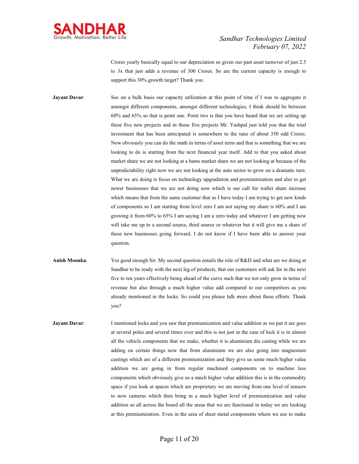

Crores yearly basically equal to our depreciation so given our past asset turnover of just 2.5 to 3x that just adds a revenue of 300 Crores. So are the current capacity is enough to support this 30% growth target? Thank you.

**Jayant Davar:** See on a bulk basis our capacity utilization at this point of time if I was to aggregate it amongst different components, amongst different technologies, I think should be between 60% and 65% so that is point one. Point two is that you have heard that we are setting up these five new projects and in those five projects Mr. Yashpal just told you that the total investment that has been anticipated is somewhere to the tune of about 350 odd Crores. Now obviously you can do the math in terms of asset terns and that is something that we are looking to do is starting from the next financial year itself. Add to that you asked about market share we are not looking at a hams market share we are not looking at because of the unpredictability right now we are not looking at the auto sector to grow on a dramatic turn. What we are doing is focus on technology upgradation and premiumization and also to get newer businesses that we are not doing now which is our call for wallet share increase which means that from the same customer that as I have today I am trying to get new kinds of components so I am starting from level zero I am not saying my share is 60% and I am growing it from 60% to 65% I am saying I am a zero today and whatever I am getting now will take me up to a second source, third source or whatever but it will give me a share of these new businesses going forward. I do not know if I have been able to answer your question.

**Anish Moonka**: Yes good enough Sir. My second question entails the role of R&D and what are we doing at Sandhar to be ready with the next leg of products, that our customers will ask for in the next five to ten years effectively being ahead of the curve such that we not only grow in terms of revenue but also through a much higher value add compared to our competitors as you already mentioned in the locks. So could you please talk more about these efforts. Thank you?

**Jayant Davar:** I mentioned locks and you saw that premiumization and value addition as we put it are goes at several poles and several times over and this is not just in the case of lock it is in almost all the vehicle components that we make, whether it is aluminium die casting while we are adding on certain things now that from aluminium we are also going into magnesium castings which are of a different premiumization and they give us some much higher value addition we are going in from regular machined components on to machine less components which obviously give us a much higher value addition this is in the commodity space if you look at spaces which are proprietary we are moving from one level of sensors to now cameras which then bring in a much higher level of premiumization and value addition so all across the board all the areas that we are functional in today we are looking at this premiumization. Even in the area of sheet metal components where we use to make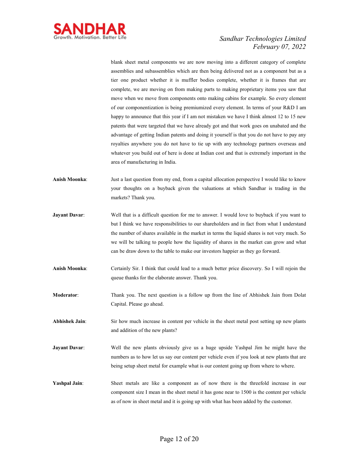

blank sheet metal components we are now moving into a different category of complete assemblies and subassemblies which are then being delivered not as a component but as a tier one product whether it is muffler bodies complete, whether it is frames that are complete, we are moving on from making parts to making proprietary items you saw that move when we move from components onto making cabins for example. So every element of our componentization is being premiumized every element. In terms of your R&D I am happy to announce that this year if I am not mistaken we have I think almost 12 to 15 new patents that were targeted that we have already got and that work goes on unabated and the advantage of getting Indian patents and doing it yourself is that you do not have to pay any royalties anywhere you do not have to tie up with any technology partners overseas and whatever you build out of here is done at Indian cost and that is extremely important in the area of manufacturing in India.

- **Anish Moonka**: Just a last question from my end, from a capital allocation perspective I would like to know your thoughts on a buyback given the valuations at which Sandhar is trading in the markets? Thank you.
- **Jayant Davar:** Well that is a difficult question for me to answer. I would love to buyback if you want to but I think we have responsibilities to our shareholders and in fact from what I understand the number of shares available in the market in terms the liquid shares is not very much. So we will be talking to people how the liquidity of shares in the market can grow and what can be draw down to the table to make our investors happier as they go forward.
- **Anish Moonka**: Certainly Sir. I think that could lead to a much better price discovery. So I will rejoin the queue thanks for the elaborate answer. Thank you.
- **Moderator**: Thank you. The next question is a follow up from the line of Abhishek Jain from Dolat Capital. Please go ahead.

**Abhishek Jain**: Sir how much increase in content per vehicle in the sheet metal post setting up new plants and addition of the new plants?

- **Jayant Davar:** Well the new plants obviously give us a huge upside Yashpal Jim he might have the numbers as to how let us say our content per vehicle even if you look at new plants that are being setup sheet metal for example what is our content going up from where to where.
- **Yashpal Jain**: Sheet metals are like a component as of now there is the threefold increase in our component size I mean in the sheet metal it has gone near to 1500 is the content per vehicle as of now in sheet metal and it is going up with what has been added by the customer.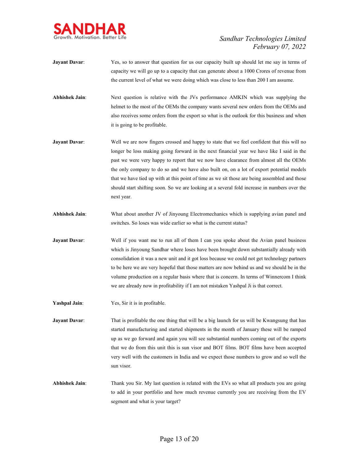

- **Jayant Davar:** Yes, so to answer that question for us our capacity built up should let me say in terms of capacity we will go up to a capacity that can generate about a 1000 Crores of revenue from the current level of what we were doing which was close to less than 200 I am assume.
- **Abhishek Jain**: Next question is relative with the JVs performance AMKIN which was supplying the helmet to the most of the OEMs the company wants several new orders from the OEMs and also receives some orders from the export so what is the outlook for this business and when it is going to be profitable.
- **Jayant Davar:** Well we are now fingers crossed and happy to state that we feel confident that this will no longer be loss making going forward in the next financial year we have like I said in the past we were very happy to report that we now have clearance from almost all the OEMs the only company to do so and we have also built on, on a lot of export potential models that we have tied up with at this point of time as we sit those are being assembled and those should start shifting soon. So we are looking at a several fold increase in numbers over the next year.
- **Abhishek Jain**: What about another JV of Jinyoung Electromechanics which is supplying avian panel and switches. So loses was wide earlier so what is the current status?
- **Jayant Davar:** Well if you want me to run all of them I can you spoke about the Avian panel business which is Jinyoung Sandhar where loses have been brought down substantially already with consolidation it was a new unit and it got loss because we could not get technology partners to be here we are very hopeful that those matters are now behind us and we should be in the volume production on a regular basis where that is concern. In terms of Winnercom I think we are already now in profitability if I am not mistaken Yashpal Ji is that correct.
- **Yashpal Jain**: Yes, Sir it is in profitable.

**Jayant Davar:** That is profitable the one thing that will be a big launch for us will be Kwangsung that has started manufacturing and started shipments in the month of January these will be ramped up as we go forward and again you will see substantial numbers coming out of the exports that we do from this unit this is sun visor and BOT films. BOT films have been accepted very well with the customers in India and we expect those numbers to grow and so well the sun visor.

**Abhishek Jain**: Thank you Sir. My last question is related with the EVs so what all products you are going to add in your portfolio and how much revenue currently you are receiving from the EV segment and what is your target?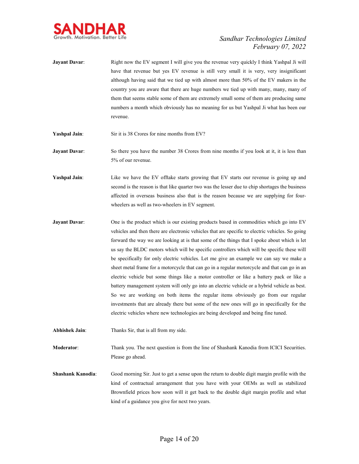

- **Jayant Davar:** Right now the EV segment I will give you the revenue very quickly I think Yashpal Ji will have that revenue but yes EV revenue is still very small it is very, very insignificant although having said that we tied up with almost more than 50% of the EV makers in the country you are aware that there are huge numbers we tied up with many, many, many of them that seems stable some of them are extremely small some of them are producing same numbers a month which obviously has no meaning for us but Yashpal Ji what has been our revenue.
- **Yashpal Jain**: Sir it is 38 Crores for nine months from EV?
- **Jayant Davar:** So there you have the number 38 Crores from nine months if you look at it, it is less than 5% of our revenue.
- **Yashpal Jain:** Like we have the EV offtake starts growing that EV starts our revenue is going up and second is the reason is that like quarter two was the lesser due to chip shortages the business affected in overseas business also that is the reason because we are supplying for fourwheelers as well as two-wheelers in EV segment.
- **Jayant Davar:** One is the product which is our existing products based in commodities which go into EV vehicles and then there are electronic vehicles that are specific to electric vehicles. So going forward the way we are looking at is that some of the things that I spoke about which is let us say the BLDC motors which will be specific controllers which will be specific these will be specifically for only electric vehicles. Let me give an example we can say we make a sheet metal frame for a motorcycle that can go in a regular motorcycle and that can go in an electric vehicle but some things like a motor controller or like a battery pack or like a battery management system will only go into an electric vehicle or a hybrid vehicle as best. So we are working on both items the regular items obviously go from our regular investments that are already there but some of the new ones will go in specifically for the electric vehicles where new technologies are being developed and being fine tuned.
- **Abhishek Jain**: Thanks Sir, that is all from my side.

**Moderator**: Thank you. The next question is from the line of Shashank Kanodia from ICICI Securities. Please go ahead.

**Shashank Kanodia**: Good morning Sir. Just to get a sense upon the return to double digit margin profile with the kind of contractual arrangement that you have with your OEMs as well as stabilized Brownfield prices how soon will it get back to the double digit margin profile and what kind of a guidance you give for next two years.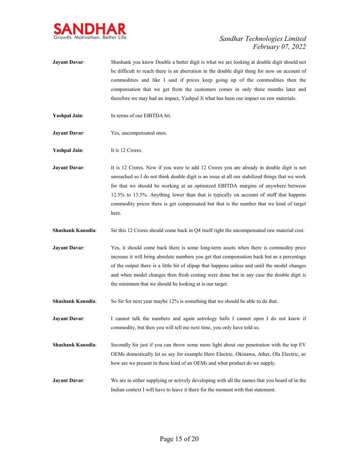

- **Jayant Davar:** Shashank you know Double a better digit is what we are looking at double digit should not be difficult to reach there is an aberration in the double digit thing for now on account of commodities and like I said if prices keep going up of the commodities then the compensation that we get from the customers comes in only three months later and therefore we may had an impact, Yashpal Ji what has been our impact on raw materials.
- **Yashpal Jain**: In terms of our EBITDA hit.
- **Jayant Davar:** Yes, uncompensated ones.

**Yashpal Jain:** It is 12 Crores.

**Jayant Davar:** It is 12 Crores. Now if you were to add 12 Crores you are already in double digit is not unreached so I do not think double digit is an issue at all our stabilized things that we work for that we should be working at an optimized EBITDA margins of anywhere between 12.5% to 13.5%. Anything lower than that is typically on account of stuff that happens commodity prices there is get compensated but that is the number that we kind of target here.

**Shashank Kanodia:** Sir this 12 Crores should come back in Q4 itself right the uncompensated raw material cost.

- **Jayant Davar**: Yes, it should come back there is some long-term assets when there is commodity price increase it will bring absolute numbers you get that compensation back but as a percentage of the output there is a little bit of slipup that happens unless and until the model changes and when model changes then fresh costing were done but in any case the double digit is the minimum that we should be looking at is our target.
- **Shashank Kanodia:** So Sir for next year maybe 12% is something that we should be able to do that.
- **Jayant Davar:** I cannot talk the numbers and again astrology balls I cannot open I do not know if commodity, but then you will tell me next time, you only have told us.
- **Shashank Kanodia**: Secondly Sir just if you can throw some more light about our penetration with the top EV OEMs domestically let us say for example Hero Electric, Okinawa, Ather, Ola Electric, so how are we present in these kind of an OEMs and what product do we supply.
- **Jayant Davar:** We are in either supplying or actively developing with all the names that you heard of in the Indian context I will have to leave it there for the moment with that statement.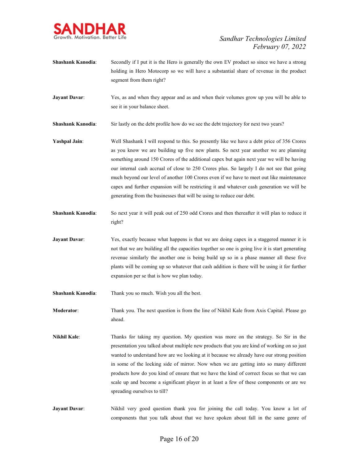

- **Shashank Kanodia:** Secondly if I put it is the Hero is generally the own EV product so since we have a strong holding in Hero Motocorp so we will have a substantial share of revenue in the product segment from them right?
- **Jayant Davar:** Yes, as and when they appear and as and when their volumes grow up you will be able to see it in your balance sheet.
- **Shashank Kanodia:** Sir lastly on the debt profile how do we see the debt trajectory for next two years?
- **Yashpal Jain**: Well Shashank I will respond to this. So presently like we have a debt price of 356 Crores as you know we are building up five new plants. So next year another we are planning something around 150 Crores of the additional capex but again next year we will be having our internal cash accrual of close to 250 Crores plus. So largely I do not see that going much beyond our level of another 100 Crores even if we have to meet out like maintenance capex and further expansion will be restricting it and whatever cash generation we will be generating from the businesses that will be using to reduce our debt.
- **Shashank Kanodia**: So next year it will peak out of 250 odd Crores and then thereafter it will plan to reduce it right?
- **Jayant Davar:** Yes, exactly because what happens is that we are doing capex in a staggered manner it is not that we are building all the capacities together so one is going live it is start generating revenue similarly the another one is being build up so in a phase manner all these five plants will be coming up so whatever that cash addition is there will be using it for further expansion per se that is how we plan today.
- **Shashank Kanodia**: Thank you so much. Wish you all the best.
- **Moderator**: Thank you. The next question is from the line of Nikhil Kale from Axis Capital. Please go ahead.
- **Nikhil Kale**: Thanks for taking my question. My question was more on the strategy. So Sir in the presentation you talked about multiple new products that you are kind of working on so just wanted to understand how are we looking at it because we already have our strong position in some of the locking side of mirror. Now when we are getting into so many different products how do you kind of ensure that we have the kind of correct focus so that we can scale up and become a significant player in at least a few of these components or are we spreading ourselves to till?
- Jayant Davar: Nikhil very good question thank you for joining the call today. You know a lot of components that you talk about that we have spoken about fall in the same genre of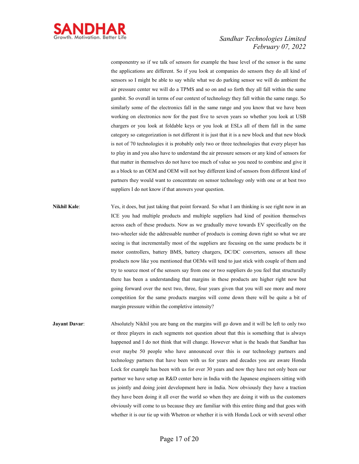

componentry so if we talk of sensors for example the base level of the sensor is the same the applications are different. So if you look at companies do sensors they do all kind of sensors so I might be able to say while what we do parking sensor we will do ambient the air pressure center we will do a TPMS and so on and so forth they all fall within the same gambit. So overall in terms of our context of technology they fall within the same range. So similarly some of the electronics fall in the same range and you know that we have been working on electronics now for the past five to seven years so whether you look at USB chargers or you look at foldable keys or you look at ESLs all of them fall in the same category so categorization is not different it is just that it is a new block and that new block is not of 70 technologies it is probably only two or three technologies that every player has to play in and you also have to understand the air pressure sensors or any kind of sensors for that matter in themselves do not have too much of value so you need to combine and give it as a block to an OEM and OEM will not buy different kind of sensors from different kind of partners they would want to concentrate on sensor technology only with one or at best two suppliers I do not know if that answers your question.

- **Nikhil Kale:** Yes, it does, but just taking that point forward. So what I am thinking is see right now in an ICE you had multiple products and multiple suppliers had kind of position themselves across each of these products. Now as we gradually move towards EV specifically on the two-wheeler side the addressable number of products is coming down right so what we are seeing is that incrementally most of the suppliers are focusing on the same products be it motor controllers, battery BMS, battery chargers, DC/DC converters, sensors all these products now like you mentioned that OEMs will tend to just stick with couple of them and try to source most of the sensors say from one or two suppliers do you feel that structurally there has been a understanding that margins in these products are higher right now but going forward over the next two, three, four years given that you will see more and more competition for the same products margins will come down there will be quite a bit of margin pressure within the completive intensity?
- **Jayant Davar:** Absolutely Nikhil you are bang on the margins will go down and it will be left to only two or three players in each segments not question about that this is something that is always happened and I do not think that will change. However what is the heads that Sandhar has over maybe 50 people who have announced over this is our technology partners and technology partners that have been with us for years and decades you are aware Honda Lock for example has been with us for over 30 years and now they have not only been our partner we have setup an R&D center here in India with the Japanese engineers sitting with us jointly and doing joint development here in India. Now obviously they have a traction they have been doing it all over the world so when they are doing it with us the customers obviously will come to us because they are familiar with this entire thing and that goes with whether it is our tie up with Whetron or whether it is with Honda Lock or with several other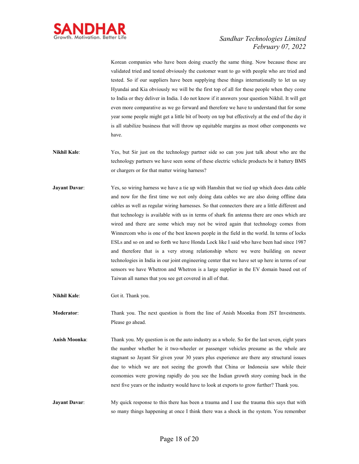

Korean companies who have been doing exactly the same thing. Now because these are validated tried and tested obviously the customer want to go with people who are tried and tested. So if our suppliers have been supplying these things internationally to let us say Hyundai and Kia obviously we will be the first top of all for these people when they come to India or they deliver in India. I do not know if it answers your question Nikhil. It will get even more comparative as we go forward and therefore we have to understand that for some year some people might get a little bit of booty on top but effectively at the end of the day it is all stabilize business that will throw up equitable margins as most other components we have.

- **Nikhil Kale**: Yes, but Sir just on the technology partner side so can you just talk about who are the technology partners we have seen some of these electric vehicle products be it battery BMS or chargers or for that matter wiring harness?
- **Jayant Davar**: Yes, so wiring harness we have a tie up with Hanshin that we tied up which does data cable and now for the first time we not only doing data cables we are also doing offline data cables as well as regular wiring harnesses. So that connecters there are a little different and that technology is available with us in terms of shark fin antenna there are ones which are wired and there are some which may not be wired again that technology comes from Winnercom who is one of the best known people in the field in the world. In terms of locks ESLs and so on and so forth we have Honda Lock like I said who have been had since 1987 and therefore that is a very strong relationship where we were building on newer technologies in India in our joint engineering center that we have set up here in terms of our sensors we have Whetron and Whetron is a large supplier in the EV domain based out of Taiwan all names that you see get covered in all of that.
- **Nikhil Kale**: Got it. Thank you.

**Moderator**: Thank you. The next question is from the line of Anish Moonka from JST Investments. Please go ahead.

- **Anish Moonka**: Thank you. My question is on the auto industry as a whole. So for the last seven, eight years the number whether be it two-wheeler or passenger vehicles presume as the whole are stagnant so Jayant Sir given your 30 years plus experience are there any structural issues due to which we are not seeing the growth that China or Indonesia saw while their economies were growing rapidly do you see the Indian growth story coming back in the next five years or the industry would have to look at exports to grow further? Thank you.
- **Jayant Davar:** My quick response to this there has been a trauma and I use the trauma this says that with so many things happening at once I think there was a shock in the system. You remember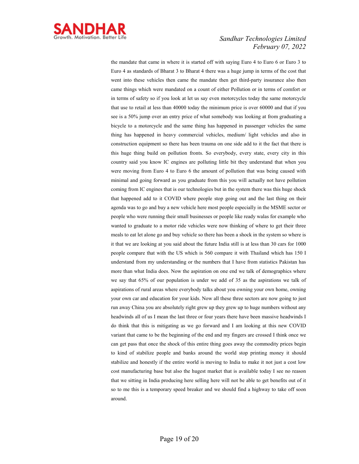

the mandate that came in where it is started off with saying Euro 4 to Euro 6 or Euro 3 to Euro 4 as standards of Bharat 3 to Bharat 4 there was a huge jump in terms of the cost that went into these vehicles then came the mandate then get third-party insurance also then came things which were mandated on a count of either Pollution or in terms of comfort or in terms of safety so if you look at let us say even motorcycles today the same motorcycle that use to retail at less than 40000 today the minimum price is over 60000 and that if you see is a 50% jump over an entry price of what somebody was looking at from graduating a bicycle to a motorcycle and the same thing has happened in passenger vehicles the same thing has happened in heavy commercial vehicles, medium/ light vehicles and also in construction equipment so there has been trauma on one side add to it the fact that there is this huge thing build on pollution fronts. So everybody, every state, every city in this country said you know IC engines are polluting little bit they understand that when you were moving from Euro 4 to Euro 6 the amount of pollution that was being caused with minimal and going forward as you graduate from this you will actually not have pollution coming from IC engines that is our technologies but in the system there was this huge shock that happened add to it COVID where people stop going out and the last thing on their agenda was to go and buy a new vehicle here most people especially in the MSME sector or people who were running their small businesses or people like ready walas for example who wanted to graduate to a motor ride vehicles were now thinking of where to get their three meals to eat let alone go and buy vehicle so there has been a shock in the system so where is it that we are looking at you said about the future India still is at less than 30 cars for 1000 people compare that with the US which is 560 compare it with Thailand which has 150 I understand from my understanding or the numbers that I have from statistics Pakistan has more than what India does. Now the aspiration on one end we talk of demographics where we say that 65% of our population is under we add of 35 as the aspirations we talk of aspirations of rural areas where everybody talks about you owning your own home, owning your own car and education for your kids. Now all these three sectors are now going to just run away China you are absolutely right grew up they grew up to huge numbers without any headwinds all of us I mean the last three or four years there have been massive headwinds I do think that this is mitigating as we go forward and I am looking at this new COVID variant that came to be the beginning of the end and my fingers are crossed I think once we can get pass that once the shock of this entire thing goes away the commodity prices begin to kind of stabilize people and banks around the world stop printing money it should stabilize and honestly if the entire world is moving to India to make it not just a cost low cost manufacturing base but also the hugest market that is available today I see no reason that we sitting in India producing here selling here will not be able to get benefits out of it so to me this is a temporary speed breaker and we should find a highway to take off soon around.